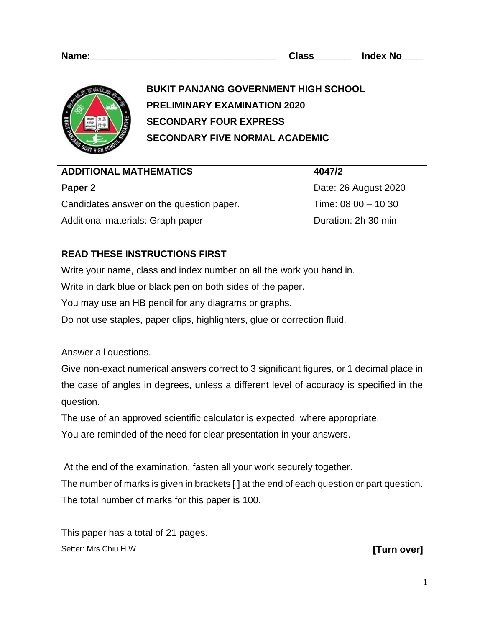

**BUKIT PANJANG GOVERNMENT HIGH SCHOOL PRELIMINARY EXAMINATION 2020 SECONDARY FOUR EXPRESS SECONDARY FIVE NORMAL ACADEMIC** 

| <b>ADDITIONAL MATHEMATICS</b>            | 4047/2                |
|------------------------------------------|-----------------------|
| Paper 2                                  | Date: 26 August 2020  |
| Candidates answer on the question paper. | Time: 08 00 $-$ 10 30 |
| Additional materials: Graph paper        | Duration: 2h 30 min   |

# **READ THESE INSTRUCTIONS FIRST**

Write your name, class and index number on all the work you hand in.

Write in dark blue or black pen on both sides of the paper.

You may use an HB pencil for any diagrams or graphs.

Do not use staples, paper clips, highlighters, glue or correction fluid.

Answer all questions.

Give non-exact numerical answers correct to 3 significant figures, or 1 decimal place in the case of angles in degrees, unless a different level of accuracy is specified in the question.

The use of an approved scientific calculator is expected, where appropriate.

You are reminded of the need for clear presentation in your answers.

At the end of the examination, fasten all your work securely together.

The number of marks is given in brackets [ ] at the end of each question or part question. The total number of marks for this paper is 100.

This paper has a total of 21 pages.

Setter: Mrs Chiu H W **[Turn over] [Turn over]**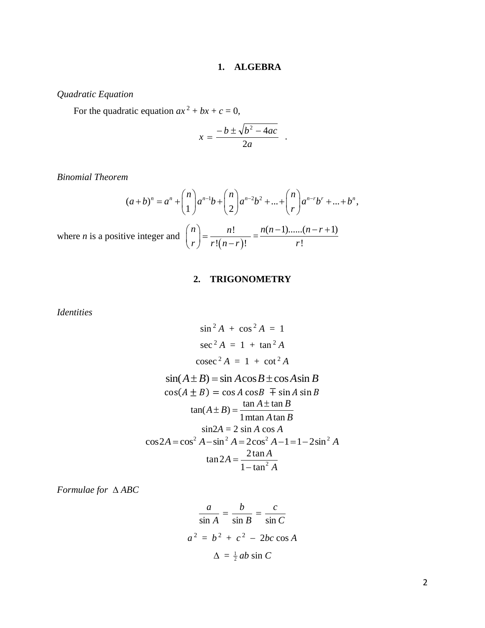#### **1. ALGEBRA**

## *Quadratic Equation*

For the quadratic equation  $ax^2 + bx + c = 0$ ,

$$
x = \frac{-b \pm \sqrt{b^2 - 4ac}}{2a} .
$$

*Binomial Theorem*

$$
(a+b)^n = a^n + \binom{n}{1}a^{n-1}b + \binom{n}{2}a^{n-2}b^2 + \dots + \binom{n}{r}a^{n-r}b^r + \dots + b^n,
$$

where  $n$  is a positive integer and  $\left| \right|$ 

$$
\binom{n}{r} = \frac{n!}{r!(n-r)!} = \frac{n(n-1)\dots(n-r+1)}{r!}
$$

#### **2. TRIGONOMETRY**

*Identities*

$$
\sin^2 A + \cos^2 A = 1
$$
  
\n
$$
\sec^2 A = 1 + \tan^2 A
$$
  
\n
$$
\csc^2 A = 1 + \cot^2 A
$$
  
\n
$$
\sin(A \pm B) = \sin A \cos B \pm \cos A \sin B
$$
  
\n
$$
\cos(A \pm B) = \cos A \cos B \mp \sin A \sin B
$$
  
\n
$$
\tan(A \pm B) = \frac{\tan A \pm \tan B}{1 \text{ m} \tan A \tan B}
$$
  
\n
$$
\sin 2A = 2 \sin A \cos A
$$
  
\n
$$
\cos 2A = \cos^2 A - \sin^2 A = 2\cos^2 A - 1 = 1 - 2\sin^2 A
$$
  
\n
$$
\tan 2A = \frac{2 \tan A}{1 - \tan^2 A}
$$

*Formulae for ABC*

$$
\frac{a}{\sin A} = \frac{b}{\sin B} = \frac{c}{\sin C}
$$
  

$$
a^2 = b^2 + c^2 - 2bc \cos A
$$
  

$$
\Delta = \frac{1}{2}ab \sin C
$$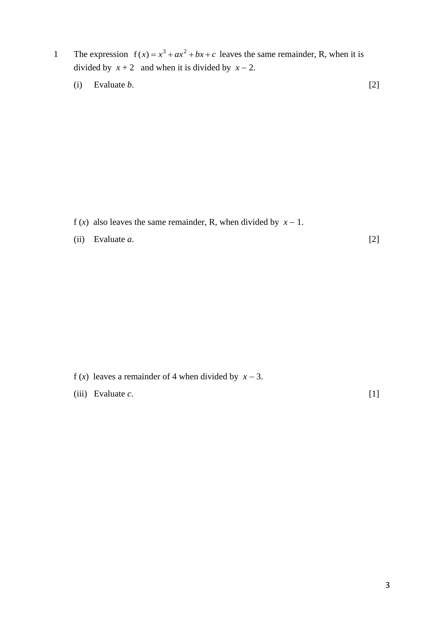- 1 The expression  $f(x) = x^3 + ax^2 + bx + c$  leaves the same remainder, R, when it is divided by  $x + 2$  and when it is divided by  $x - 2$ .
	- (i) Evaluate  $b$ . [2]

- f (*x*) also leaves the same remainder, R, when divided by  $x 1$ .
- (ii) Evaluate *a*. [2]

- f (*x*) leaves a remainder of 4 when divided by  $x 3$ .
- (iii) Evaluate *c*. [1]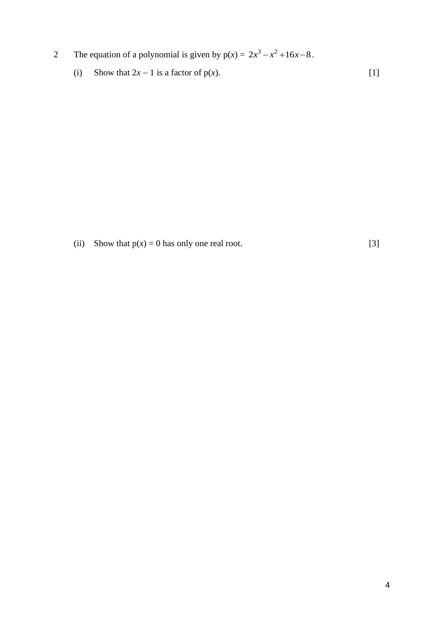- 2 The equation of a polynomial is given by  $p(x) = 2x^3 x^2 + 16x 8$ .
	- (i) Show that  $2x 1$  is a factor of p(*x*). [1]

(ii) Show that  $p(x) = 0$  has only one real root. [3]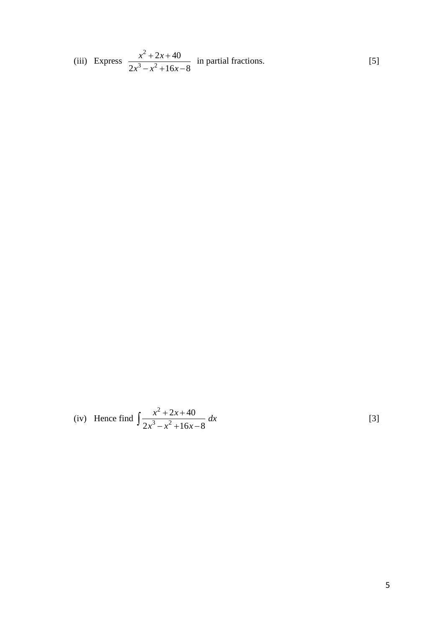(iii) Express 
$$
\frac{x^2 + 2x + 40}{2x^3 - x^2 + 16x - 8}
$$
 in partial fractions. [5]

(iv) Hence find 
$$
\int \frac{x^2 + 2x + 40}{2x^3 - x^2 + 16x - 8} dx
$$
 [3]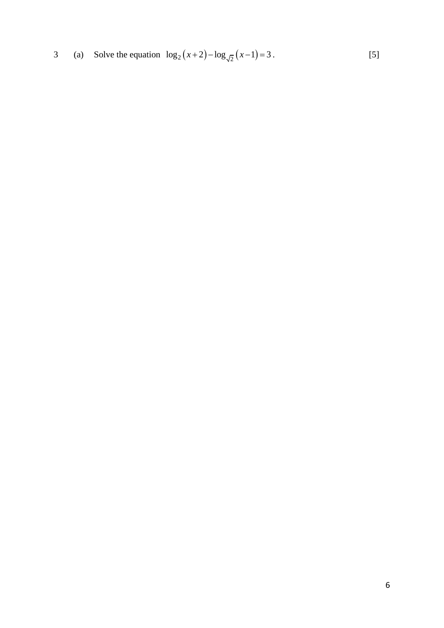3 (a) Solve the equation  $\log_2(x+2) - \log_{\sqrt{2}}(x-1) = 3$ . [5]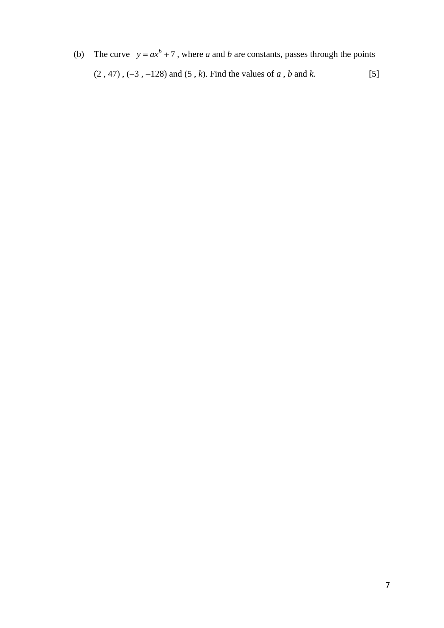(b) The curve  $y = ax^b + 7$ , where *a* and *b* are constants, passes through the points (2 , 47) , (−3 , −128) and (5 , *k*). Find the values of *a* , *b* and *k*. [5]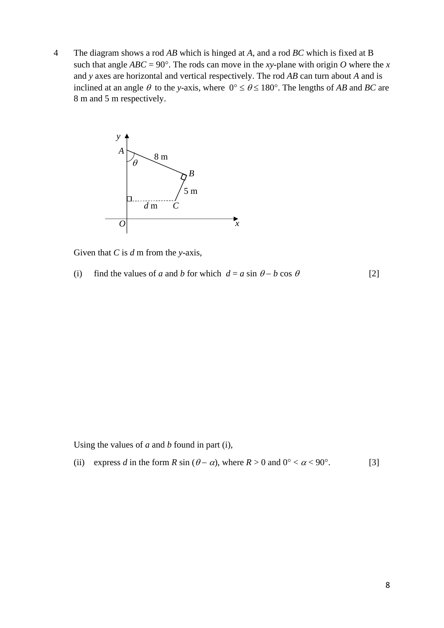4 The diagram shows a rod *AB* which is hinged at *A*, and a rod *BC* which is fixed at B such that angle  $ABC = 90^\circ$ . The rods can move in the *xy*-plane with origin *O* where the *x* and *y* axes are horizontal and vertical respectively. The rod *AB* can turn about *A* and is inclined at an angle  $\theta$  to the *y*-axis, where  $0^{\circ} \le \theta \le 180^{\circ}$ . The lengths of *AB* and *BC* are 8 m and 5 m respectively.



Given that *C* is *d* m from the *y*-axis,

(i) find the values of *a* and *b* for which  $d = a \sin \theta - b \cos \theta$  [2]

Using the values of *a* and *b* found in part (i),

(ii) express *d* in the form *R* sin ( $\theta - \alpha$ ), where  $R > 0$  and  $0^{\circ} < \alpha < 90^{\circ}$ . [3]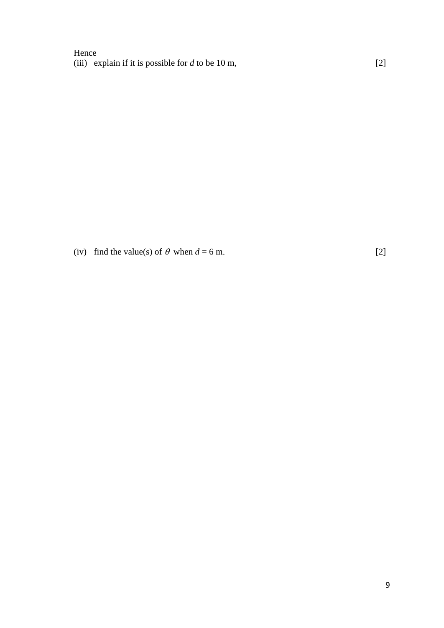## Hence (iii) explain if it is possible for *d* to be 10 m, [2]

(iv) find the value(s) of  $\theta$  when  $d = 6$  m. [2]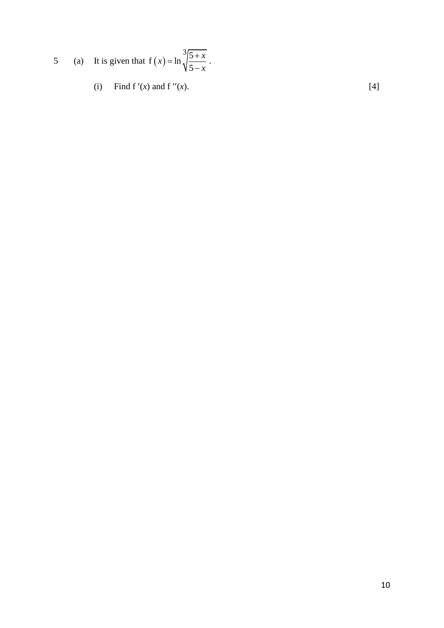5 (a) It is given that  $f(x)$  $f(x) = \ln \frac{3}{2}$ 5  $f(x) = \ln \sqrt{\frac{5 + x}{5}}$ *x*  $=\ln \frac{3}{1} = \frac{5+1}{5}$ − .

(i) Find f'(*x*) and f''(*x*). [4]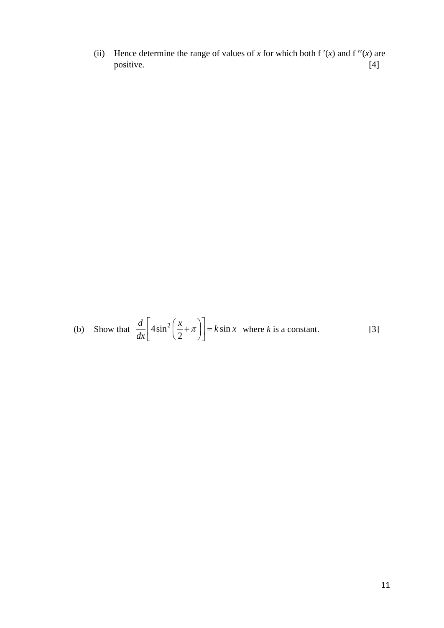(ii) Hence determine the range of values of *x* for which both f  $'(x)$  and f  $''(x)$  are positive. [4] positive.

(b) Show that 
$$
\frac{d}{dx} \left[ 4 \sin^2 \left( \frac{x}{2} + \pi \right) \right] = k \sin x
$$
 where *k* is a constant. [3]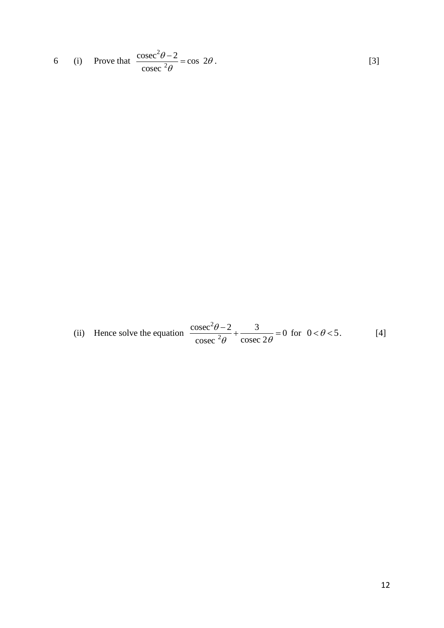6 (i) Prove that 
$$
\frac{\csc^2 \theta - 2}{\csc^2 \theta} = \cos 2\theta.
$$
 [3]

(ii) Hence solve the equation 
$$
\frac{\csc^2 \theta - 2}{\csc^2 \theta} + \frac{3}{\csc 2\theta} = 0 \text{ for } 0 < \theta < 5.
$$
 [4]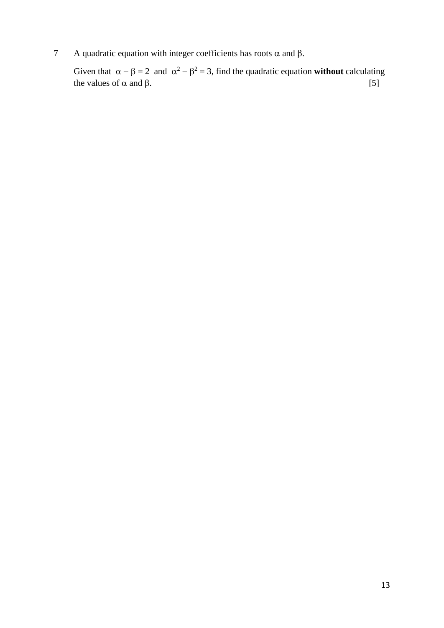7 A quadratic equation with integer coefficients has roots  $\alpha$  and  $\beta$ .

Given that  $\alpha - \beta = 2$  and  $\alpha^2 - \beta^2 = 3$ , find the quadratic equation **without** calculating the values of  $\alpha$  and  $\beta$ . [5]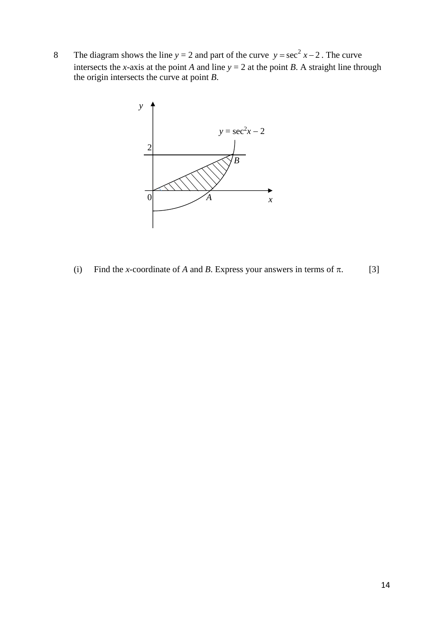8 The diagram shows the line  $y = 2$  and part of the curve  $y = \sec^2 x - 2$ . The curve intersects the *x*-axis at the point *A* and line  $y = 2$  at the point *B*. A straight line through the origin intersects the curve at point *B*.



(i) Find the *x*-coordinate of *A* and *B*. Express your answers in terms of  $\pi$ . [3]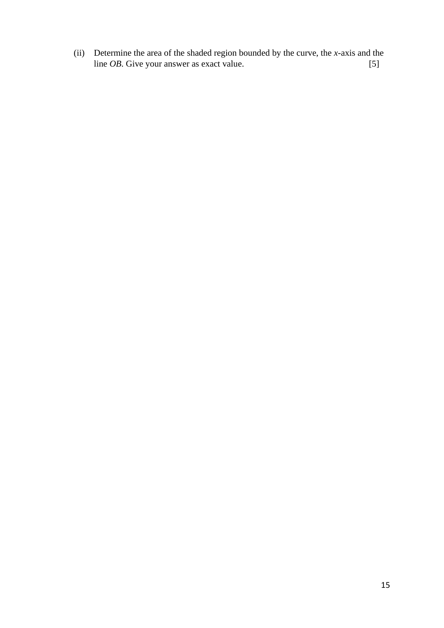(ii) Determine the area of the shaded region bounded by the curve, the *x*-axis and the line *OB*. Give your answer as exact value. [5]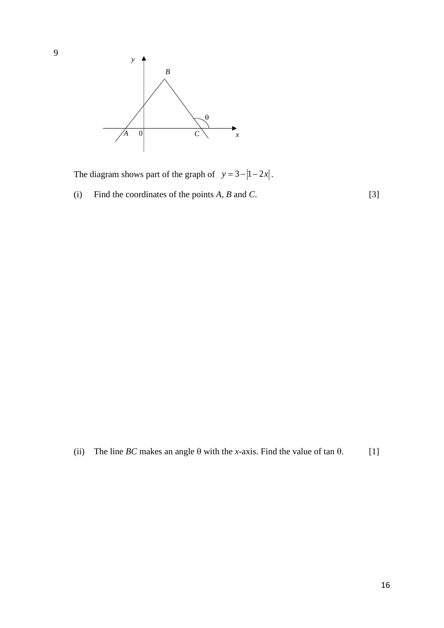

The diagram shows part of the graph of  $y = 3 - |1 - 2x|$ .

(i) Find the coordinates of the points  $A$ ,  $B$  and  $C$ . [3]

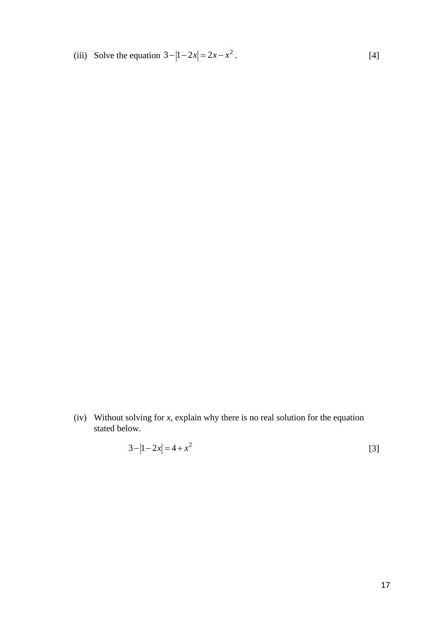(iii) Solve the equation  $3 - |1 - 2x| = 2x - x^2$ . [4]

(iv) Without solving for *x*, explain why there is no real solution for the equation stated below.

$$
3 - |1 - 2x| = 4 + x^2
$$
 [3]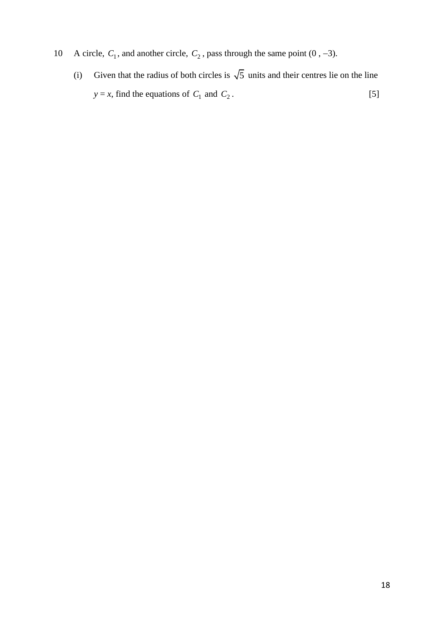- 10 A circle,  $C_1$ , and another circle,  $C_2$ , pass through the same point (0, -3).
	- (i) Given that the radius of both circles is  $\sqrt{5}$  units and their centres lie on the line  $y = x$ , find the equations of  $C_1$  and  $C_2$ .  $[5]$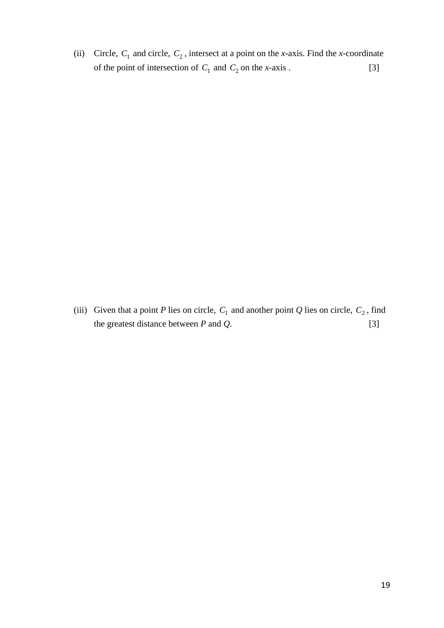(ii) Circle,  $C_1$  and circle,  $C_2$ , intersect at a point on the *x*-axis. Find the *x*-coordinate of the point of intersection of  $C_1$  and  $C_2$  on the *x*-axis . [3]

(iii) Given that a point *P* lies on circle,  $C_1$  and another point *Q* lies on circle,  $C_2$ , find the greatest distance between *P* and *Q*. [3]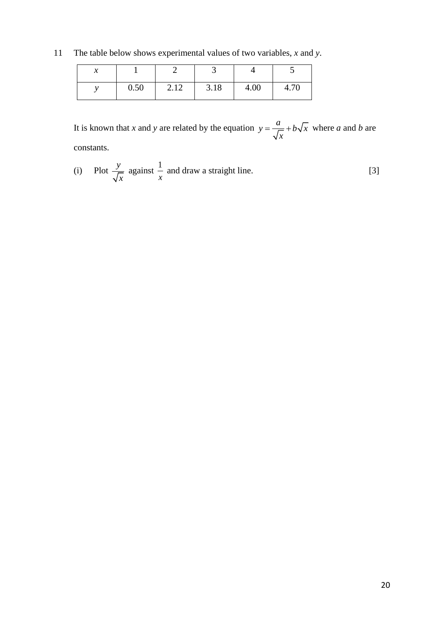11 The table below shows experimental values of two variables, *x* and *y*.

| ↗ |      |      |      |      |      |
|---|------|------|------|------|------|
|   | 0.50 | 2.12 | 3.18 | 4.00 | 4.70 |

It is known that *x* and *y* are related by the equation  $y = \frac{a}{\sqrt{a}} + b\sqrt{x}$ *x*  $=\frac{a}{\sqrt{a}}+b\sqrt{x}$  where *a* and *b* are constants.

(i) Plot 
$$
\frac{y}{\sqrt{x}}
$$
 against  $\frac{1}{x}$  and draw a straight line. [3]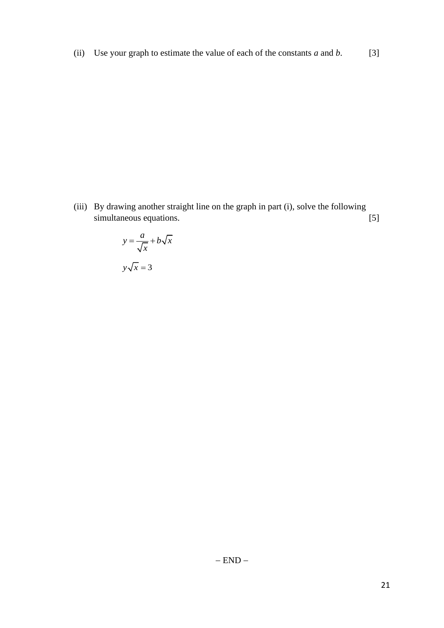(ii) Use your graph to estimate the value of each of the constants  $a$  and  $b$ . [3]

(iii) By drawing another straight line on the graph in part (i), solve the following simultaneous equations. [5]

$$
y = \frac{a}{\sqrt{x}} + b\sqrt{x}
$$

$$
y\sqrt{x} = 3
$$